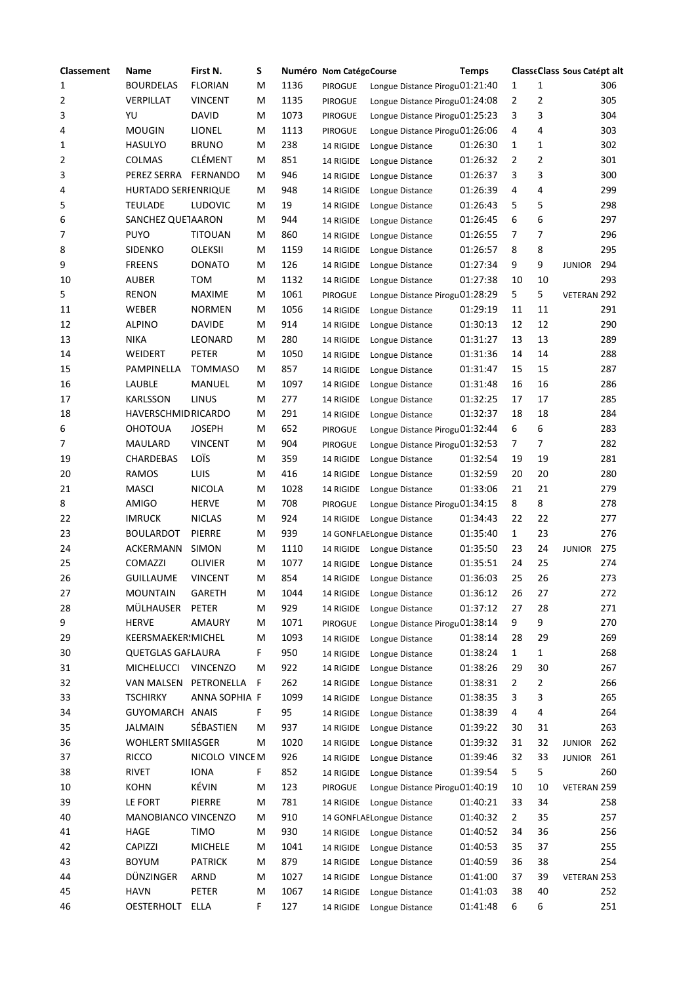| <b>Classement</b> | Name                       | First N.        | S  |      | Numéro Nom CatégoCourse |                                | <b>Temps</b> |                |              | ClasseClass Sous Catépt alt |     |
|-------------------|----------------------------|-----------------|----|------|-------------------------|--------------------------------|--------------|----------------|--------------|-----------------------------|-----|
| 1                 | <b>BOURDELAS</b>           | <b>FLORIAN</b>  | м  | 1136 | PIROGUE                 | Longue Distance Pirogu01:21:40 |              | 1              | 1            |                             | 306 |
| 2                 | VERPILLAT                  | <b>VINCENT</b>  | М  | 1135 | <b>PIROGUE</b>          | Longue Distance Pirogu01:24:08 |              | 2              | 2            |                             | 305 |
| 3                 | YU                         | <b>DAVID</b>    | м  | 1073 | <b>PIROGUE</b>          | Longue Distance Pirogu01:25:23 |              | 3              | 3            |                             | 304 |
| 4                 | <b>MOUGIN</b>              | LIONEL          | M  | 1113 | <b>PIROGUE</b>          | Longue Distance Pirogu01:26:06 |              | 4              | 4            |                             | 303 |
| 1                 | <b>HASULYO</b>             | <b>BRUNO</b>    | M  | 238  | 14 RIGIDE               | Longue Distance                | 01:26:30     | $\mathbf{1}$   | 1            |                             | 302 |
| 2                 | <b>COLMAS</b>              | <b>CLÉMENT</b>  | M  | 851  | 14 RIGIDE               | Longue Distance                | 01:26:32     | 2              | 2            |                             | 301 |
| 3                 | PEREZ SERRA                | <b>FERNANDO</b> | M  | 946  | 14 RIGIDE               | Longue Distance                | 01:26:37     | 3              | 3            |                             | 300 |
| 4                 | <b>HURTADO SERFENRIQUE</b> |                 | м  | 948  | 14 RIGIDE               | Longue Distance                | 01:26:39     | 4              | 4            |                             | 299 |
| 5                 | <b>TEULADE</b>             | <b>LUDOVIC</b>  | м  | 19   | 14 RIGIDE               | Longue Distance                | 01:26:43     | 5              | 5            |                             | 298 |
| 6                 | SANCHEZ QUETAARON          |                 | M  | 944  | 14 RIGIDE               | Longue Distance                | 01:26:45     | 6              | 6            |                             | 297 |
| 7                 | <b>PUYO</b>                | <b>TITOUAN</b>  | M  | 860  | 14 RIGIDE               | Longue Distance                | 01:26:55     | 7              | 7            |                             | 296 |
| 8                 | <b>SIDENKO</b>             | <b>OLEKSII</b>  | M  | 1159 | 14 RIGIDE               | Longue Distance                | 01:26:57     | 8              | 8            |                             | 295 |
| 9                 | <b>FREENS</b>              | <b>DONATO</b>   | M  | 126  | 14 RIGIDE               | Longue Distance                | 01:27:34     | 9              | 9            | <b>JUNIOR</b>               | 294 |
| 10                | <b>AUBER</b>               | TOM             | M  | 1132 | 14 RIGIDE               | Longue Distance                | 01:27:38     | 10             | 10           |                             | 293 |
| 5                 | <b>RENON</b>               | <b>MAXIME</b>   | M  | 1061 | <b>PIROGUE</b>          | Longue Distance Pirogu01:28:29 |              | 5              | 5            | VETERAN 292                 |     |
| 11                | <b>WEBER</b>               | <b>NORMEN</b>   | м  | 1056 | 14 RIGIDE               | Longue Distance                | 01:29:19     | 11             | 11           |                             | 291 |
| 12                | <b>ALPINO</b>              | <b>DAVIDE</b>   | м  | 914  | 14 RIGIDE               | Longue Distance                | 01:30:13     | 12             | 12           |                             | 290 |
| 13                | <b>NIKA</b>                | LEONARD         | м  | 280  | 14 RIGIDE               | Longue Distance                | 01:31:27     | 13             | 13           |                             | 289 |
| 14                | WEIDERT                    | PETER           | M  | 1050 | 14 RIGIDE               | Longue Distance                | 01:31:36     | 14             | 14           |                             | 288 |
| 15                | <b>PAMPINELLA</b>          | <b>TOMMASO</b>  | м  | 857  | 14 RIGIDE               | Longue Distance                | 01:31:47     | 15             | 15           |                             | 287 |
| 16                | LAUBLE                     | MANUEL          | м  | 1097 | 14 RIGIDE               | Longue Distance                | 01:31:48     | 16             | 16           |                             | 286 |
| 17                | <b>KARLSSON</b>            | LINUS           | M  | 277  | 14 RIGIDE               | Longue Distance                | 01:32:25     | 17             | 17           |                             | 285 |
| 18                | <b>HAVERSCHMID RICARDO</b> |                 | M  | 291  | 14 RIGIDE               | Longue Distance                | 01:32:37     | 18             | 18           |                             | 284 |
| 6                 | <b>OHOTOUA</b>             | <b>JOSEPH</b>   | M  | 652  | PIROGUE                 | Longue Distance Pirogu01:32:44 |              | 6              | 6            |                             | 283 |
| 7                 | MAULARD                    | <b>VINCENT</b>  | м  | 904  | <b>PIROGUE</b>          | Longue Distance Pirogu01:32:53 |              | 7              | 7            |                             | 282 |
| 19                | CHARDEBAS                  | LOÏS            | M  | 359  | 14 RIGIDE               | Longue Distance                | 01:32:54     | 19             | 19           |                             | 281 |
| 20                | <b>RAMOS</b>               | LUIS            | M  | 416  | 14 RIGIDE               | Longue Distance                | 01:32:59     | 20             | 20           |                             | 280 |
| 21                | <b>MASCI</b>               | <b>NICOLA</b>   | Μ  | 1028 | 14 RIGIDE               | Longue Distance                | 01:33:06     | 21             | 21           |                             | 279 |
| 8                 | <b>AMIGO</b>               | <b>HERVE</b>    | M  | 708  | <b>PIROGUE</b>          | Longue Distance Pirogu01:34:15 |              | 8              | 8            |                             | 278 |
| 22                | <b>IMRUCK</b>              | <b>NICLAS</b>   | M  | 924  | 14 RIGIDE               | Longue Distance                | 01:34:43     | 22             | 22           |                             | 277 |
| 23                | <b>BOULARDOT</b>           | PIERRE          | M  | 939  |                         | 14 GONFLAELongue Distance      | 01:35:40     | $\mathbf{1}$   | 23           |                             | 276 |
| 24                | <b>ACKERMANN</b>           | <b>SIMON</b>    | M  | 1110 | 14 RIGIDE               | Longue Distance                | 01:35:50     | 23             | 24           | <b>JUNIOR</b>               | 275 |
| 25                | COMAZZI                    | OLIVIER         | м  | 1077 | 14 RIGIDE               | Longue Distance                | 01:35:51     | 24             | 25           |                             | 274 |
| 26                | <b>GUILLAUME</b>           | <b>VINCENT</b>  | м  | 854  | 14 RIGIDE               | Longue Distance                | 01:36:03     | 25             | 26           |                             | 273 |
| 27                | <b>MOUNTAIN</b>            | <b>GARETH</b>   | M  | 1044 | 14 RIGIDE               | Longue Distance                | 01:36:12     | 26             | 27           |                             | 272 |
| 28                | MÜLHAUSER                  | PETER           | Μ  | 929  | 14 RIGIDE               | Longue Distance                | 01:37:12     | 27             | 28           |                             | 271 |
| 9                 | <b>HERVE</b>               | AMAURY          | M  | 1071 | <b>PIROGUE</b>          | Longue Distance Pirogu01:38:14 |              | 9              | 9            |                             | 270 |
| 29                | KEERSMAEKER!MICHEL         |                 | M  | 1093 | 14 RIGIDE               | Longue Distance                | 01:38:14     | 28             | 29           |                             | 269 |
| 30                | <b>QUETGLAS GAFLAURA</b>   |                 | F. | 950  | 14 RIGIDE               | Longue Distance                | 01:38:24     | $\mathbf{1}$   | $\mathbf{1}$ |                             | 268 |
| 31                | <b>MICHELUCCI</b>          | <b>VINCENZO</b> | м  | 922  | 14 RIGIDE               | Longue Distance                | 01:38:26     | 29             | 30           |                             | 267 |
| 32                | <b>VAN MALSEN</b>          | PETRONELLA      | F  | 262  | 14 RIGIDE               | Longue Distance                | 01:38:31     | $\overline{2}$ | 2            |                             | 266 |
| 33                | <b>TSCHIRKY</b>            | ANNA SOPHIA F   |    | 1099 | 14 RIGIDE               | Longue Distance                | 01:38:35     | 3              | 3            |                             | 265 |
| 34                | GUYOMARCH                  | <b>ANAIS</b>    | F. | 95   | 14 RIGIDE               | Longue Distance                | 01:38:39     | 4              | 4            |                             | 264 |
| 35                | JALMAIN                    | SÉBASTIEN       | M  | 937  | 14 RIGIDE               | Longue Distance                | 01:39:22     | 30             | 31           |                             | 263 |
| 36                | <b>WOHLERT SMIIASGER</b>   |                 | M  | 1020 | 14 RIGIDE               | Longue Distance                | 01:39:32     | 31             | 32           | <b>JUNIOR</b>               | 262 |
| 37                | <b>RICCO</b>               | NICOLO VINCEM   |    | 926  | 14 RIGIDE               | Longue Distance                | 01:39:46     | 32             | 33           | <b>JUNIOR</b>               | 261 |
| 38                | <b>RIVET</b>               | <b>IONA</b>     | F  | 852  | 14 RIGIDE               | Longue Distance                | 01:39:54     | 5              | 5            |                             | 260 |
| 10                | <b>KOHN</b>                | KÉVIN           | м  | 123  | PIROGUE                 | Longue Distance Pirogu01:40:19 |              | 10             | 10           | VETERAN 259                 |     |
| 39                | LE FORT                    | PIERRE          | M  | 781  | 14 RIGIDE               | Longue Distance                | 01:40:21     | 33             | 34           |                             | 258 |
| 40                | MANOBIANCO VINCENZO        |                 | Μ  | 910  |                         | 14 GONFLAELongue Distance      | 01:40:32     | $\overline{2}$ | 35           |                             | 257 |
| 41                | HAGE                       | <b>TIMO</b>     | M  | 930  | 14 RIGIDE               | Longue Distance                | 01:40:52     | 34             | 36           |                             | 256 |
| 42                | <b>CAPIZZI</b>             | <b>MICHELE</b>  | M  | 1041 | 14 RIGIDE               | Longue Distance                | 01:40:53     | 35             | 37           |                             | 255 |
| 43                | <b>BOYUM</b>               | <b>PATRICK</b>  | M  | 879  | 14 RIGIDE               | Longue Distance                | 01:40:59     | 36             | 38           |                             | 254 |
| 44                | DÜNZINGER                  | ARND            | M  | 1027 | 14 RIGIDE               | Longue Distance                | 01:41:00     | 37             | 39           | VETERAN 253                 |     |
| 45                | <b>HAVN</b>                | PETER           | M  | 1067 | 14 RIGIDE               | Longue Distance                | 01:41:03     | 38             | 40           |                             | 252 |
| 46                | <b>OESTERHOLT</b>          | ELLA            | F. | 127  | 14 RIGIDE               | Longue Distance                | 01:41:48     | 6              | 6            |                             | 251 |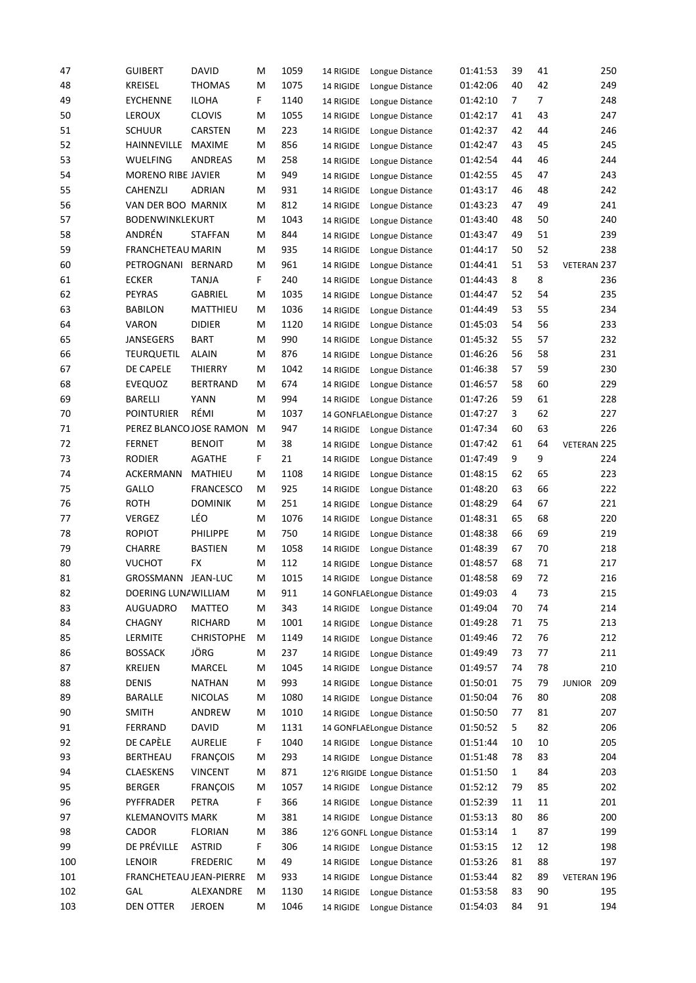| 47  | <b>GUIBERT</b>           | <b>DAVID</b>      | M  | 1059 | 14 RIGIDE | Longue Distance             | 01:41:53 | 39             | 41             |               | 250 |
|-----|--------------------------|-------------------|----|------|-----------|-----------------------------|----------|----------------|----------------|---------------|-----|
| 48  | <b>KREISEL</b>           | <b>THOMAS</b>     | м  | 1075 | 14 RIGIDE | Longue Distance             | 01:42:06 | 40             | 42             |               | 249 |
| 49  | <b>EYCHENNE</b>          | <b>ILOHA</b>      | F. | 1140 | 14 RIGIDE | Longue Distance             | 01:42:10 | $\overline{7}$ | $\overline{7}$ |               | 248 |
| 50  | <b>LEROUX</b>            | <b>CLOVIS</b>     | м  | 1055 | 14 RIGIDE | Longue Distance             | 01:42:17 | 41             | 43             |               | 247 |
| 51  | <b>SCHUUR</b>            | CARSTEN           | м  | 223  | 14 RIGIDE | Longue Distance             | 01:42:37 | 42             | 44             |               | 246 |
| 52  | HAINNEVILLE              | <b>MAXIME</b>     | м  | 856  | 14 RIGIDE | Longue Distance             | 01:42:47 | 43             | 45             |               | 245 |
| 53  | <b>WUELFING</b>          | ANDREAS           | M  | 258  | 14 RIGIDE | Longue Distance             | 01:42:54 | 44             | 46             |               | 244 |
| 54  | MORENO RIBE JAVIER       |                   | м  | 949  | 14 RIGIDE | Longue Distance             | 01:42:55 | 45             | 47             |               | 243 |
| 55  | <b>CAHENZLI</b>          | ADRIAN            | м  | 931  | 14 RIGIDE | Longue Distance             | 01:43:17 | 46             | 48             |               | 242 |
| 56  | VAN DER BOO MARNIX       |                   | м  | 812  | 14 RIGIDE | Longue Distance             | 01:43:23 | 47             | 49             |               | 241 |
| 57  | <b>BODENWINKLEKURT</b>   |                   | M  | 1043 | 14 RIGIDE | Longue Distance             | 01:43:40 | 48             | 50             |               | 240 |
| 58  | ANDRÉN                   | <b>STAFFAN</b>    | м  | 844  | 14 RIGIDE | Longue Distance             | 01:43:47 | 49             | 51             |               | 239 |
| 59  | <b>FRANCHETEAU MARIN</b> |                   | M  | 935  | 14 RIGIDE | Longue Distance             | 01:44:17 | 50             | 52             |               | 238 |
| 60  | PETROGNANI               | <b>BERNARD</b>    | м  | 961  | 14 RIGIDE | Longue Distance             | 01:44:41 | 51             | 53             | VETERAN 237   |     |
| 61  | <b>ECKER</b>             | <b>TANJA</b>      | F  | 240  | 14 RIGIDE | Longue Distance             | 01:44:43 | 8              | 8              |               | 236 |
| 62  | <b>PEYRAS</b>            | GABRIEL           | м  | 1035 | 14 RIGIDE | Longue Distance             | 01:44:47 | 52             | 54             |               | 235 |
| 63  | <b>BABILON</b>           | MATTHIEU          | м  | 1036 | 14 RIGIDE | Longue Distance             | 01:44:49 | 53             | 55             |               | 234 |
| 64  | <b>VARON</b>             | <b>DIDIER</b>     | M  | 1120 | 14 RIGIDE | Longue Distance             | 01:45:03 | 54             | 56             |               | 233 |
| 65  | <b>JANSEGERS</b>         | <b>BART</b>       | M  | 990  | 14 RIGIDE | Longue Distance             | 01:45:32 | 55             | 57             |               | 232 |
| 66  | <b>TEURQUETIL</b>        | <b>ALAIN</b>      | м  | 876  | 14 RIGIDE | Longue Distance             | 01:46:26 | 56             | 58             |               | 231 |
| 67  | DE CAPELE                | <b>THIERRY</b>    | м  | 1042 | 14 RIGIDE | Longue Distance             | 01:46:38 | 57             | 59             |               | 230 |
| 68  | <b>EVEQUOZ</b>           | <b>BERTRAND</b>   | M  | 674  | 14 RIGIDE | Longue Distance             | 01:46:57 | 58             | 60             |               | 229 |
| 69  | <b>BARELLI</b>           | <b>YANN</b>       | м  | 994  | 14 RIGIDE | Longue Distance             | 01:47:26 | 59             | 61             |               | 228 |
| 70  | <b>POINTURIER</b>        | RÉMI              | M  | 1037 |           | 14 GONFLAELongue Distance   | 01:47:27 | 3              | 62             |               | 227 |
| 71  | PEREZ BLANCO JOSE RAMON  |                   | м  | 947  | 14 RIGIDE | Longue Distance             | 01:47:34 | 60             | 63             |               | 226 |
| 72  | <b>FERNET</b>            | <b>BENOIT</b>     | м  | 38   | 14 RIGIDE | Longue Distance             | 01:47:42 | 61             | 64             | VETERAN 225   |     |
| 73  | <b>RODIER</b>            | <b>AGATHE</b>     | F  | 21   | 14 RIGIDE | Longue Distance             | 01:47:49 | 9              | 9              |               | 224 |
| 74  | ACKERMANN                | MATHIEU           | м  | 1108 | 14 RIGIDE | Longue Distance             | 01:48:15 | 62             | 65             |               | 223 |
| 75  | GALLO                    | <b>FRANCESCO</b>  | м  | 925  | 14 RIGIDE | Longue Distance             | 01:48:20 | 63             | 66             |               | 222 |
| 76  | <b>ROTH</b>              | <b>DOMINIK</b>    | м  | 251  | 14 RIGIDE | Longue Distance             | 01:48:29 | 64             | 67             |               | 221 |
| 77  | <b>VERGEZ</b>            | LÉO               | м  | 1076 | 14 RIGIDE | Longue Distance             | 01:48:31 | 65             | 68             |               | 220 |
| 78  | <b>ROPIOT</b>            | PHILIPPE          | м  | 750  | 14 RIGIDE | Longue Distance             | 01:48:38 | 66             | 69             |               | 219 |
| 79  | CHARRE                   | <b>BASTIEN</b>    | м  | 1058 | 14 RIGIDE | Longue Distance             | 01:48:39 | 67             | 70             |               | 218 |
| 80  | <b>VUCHOT</b>            | FX                | м  | 112  | 14 RIGIDE | Longue Distance             | 01:48:57 | 68             | 71             |               | 217 |
| 81  | GROSSMANN                | <b>JEAN-LUC</b>   | M  | 1015 | 14 RIGIDE | Longue Distance             | 01:48:58 | 69             | 72             |               | 216 |
| 82  | DOERING LUNAWILLIAM      |                   | M  | 911  |           | 14 GONFLAELongue Distance   | 01:49:03 | 4              | 73             |               | 215 |
| 83  | <b>AUGUADRO</b>          | MATTEO            | M  | 343  | 14 RIGIDE | Longue Distance             | 01:49:04 | 70             | 74             |               | 214 |
| 84  | <b>CHAGNY</b>            | <b>RICHARD</b>    | М  | 1001 | 14 RIGIDE | Longue Distance             | 01:49:28 | 71             | 75             |               | 213 |
| 85  | LERMITE                  | <b>CHRISTOPHE</b> | м  | 1149 | 14 RIGIDE | Longue Distance             | 01:49:46 | 72             | 76             |               | 212 |
| 86  | <b>BOSSACK</b>           | JÖRG              | м  | 237  | 14 RIGIDE | Longue Distance             | 01:49:49 | 73             | 77             |               | 211 |
| 87  | <b>KREIJEN</b>           | MARCEL            | м  | 1045 | 14 RIGIDE | Longue Distance             | 01:49:57 | 74             | 78             |               | 210 |
| 88  | <b>DENIS</b>             | <b>NATHAN</b>     | м  | 993  | 14 RIGIDE | Longue Distance             | 01:50:01 | 75             | 79             | <b>JUNIOR</b> | 209 |
| 89  | <b>BARALLE</b>           | <b>NICOLAS</b>    | м  | 1080 | 14 RIGIDE | Longue Distance             | 01:50:04 | 76             | 80             |               | 208 |
| 90  | <b>SMITH</b>             | ANDREW            | М  | 1010 | 14 RIGIDE | Longue Distance             | 01:50:50 | 77             | 81             |               | 207 |
| 91  | <b>FERRAND</b>           | <b>DAVID</b>      | M  | 1131 |           | 14 GONFLAELongue Distance   | 01:50:52 | 5              | 82             |               | 206 |
| 92  | DE CAPÈLE                | <b>AURELIE</b>    | F  | 1040 |           | 14 RIGIDE Longue Distance   | 01:51:44 | 10             | 10             |               | 205 |
| 93  | BERTHEAU                 | <b>FRANÇOIS</b>   | M  | 293  | 14 RIGIDE | Longue Distance             | 01:51:48 | 78             | 83             |               | 204 |
| 94  | <b>CLAESKENS</b>         | <b>VINCENT</b>    | м  | 871  |           | 12'6 RIGIDE Longue Distance | 01:51:50 | $\mathbf{1}$   | 84             |               | 203 |
| 95  | <b>BERGER</b>            | <b>FRANÇOIS</b>   | M  | 1057 | 14 RIGIDE | Longue Distance             | 01:52:12 | 79             | 85             |               | 202 |
| 96  | PYFFRADER                | PETRA             | F  | 366  | 14 RIGIDE | Longue Distance             | 01:52:39 | 11             | 11             |               | 201 |
| 97  | <b>KLEMANOVITS MARK</b>  |                   | м  | 381  | 14 RIGIDE | Longue Distance             | 01:53:13 | 80             | 86             |               | 200 |
| 98  | <b>CADOR</b>             | <b>FLORIAN</b>    | M  | 386  |           | 12'6 GONFL Longue Distance  | 01:53:14 | $\mathbf{1}$   | 87             |               | 199 |
| 99  | DE PRÉVILLE              | <b>ASTRID</b>     | F  | 306  | 14 RIGIDE | Longue Distance             | 01:53:15 | 12             | 12             |               | 198 |
| 100 | <b>LENOIR</b>            | <b>FREDERIC</b>   | M  | 49   | 14 RIGIDE | Longue Distance             | 01:53:26 | 81             | 88             |               | 197 |
| 101 | FRANCHETEAU JEAN-PIERRE  |                   | М  | 933  | 14 RIGIDE | Longue Distance             | 01:53:44 | 82             | 89             | VETERAN 196   |     |
| 102 | <b>GAL</b>               | ALEXANDRE         | м  | 1130 | 14 RIGIDE | Longue Distance             | 01:53:58 | 83             | 90             |               | 195 |
| 103 | DEN OTTER                | <b>JEROEN</b>     | М  | 1046 | 14 RIGIDE | Longue Distance             | 01:54:03 | 84             | 91             |               | 194 |
|     |                          |                   |    |      |           |                             |          |                |                |               |     |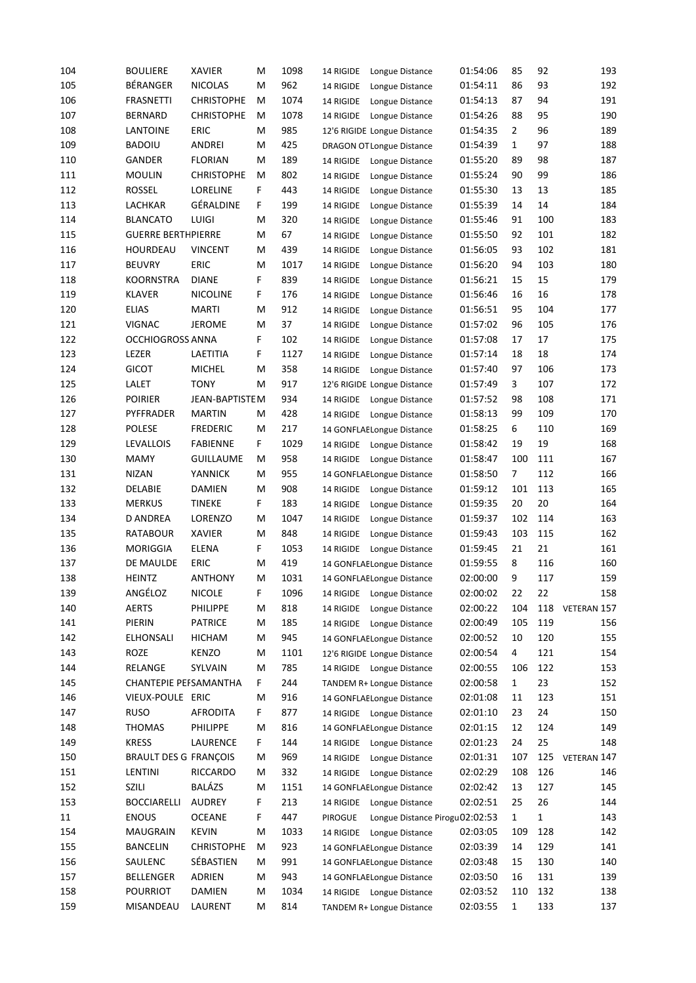| 104 | <b>BOULIERE</b>              | <b>XAVIER</b>     | Μ  | 1098 | 14 RIGIDE | Longue Distance                  | 01:54:06 | 85             | 92           | 193         |
|-----|------------------------------|-------------------|----|------|-----------|----------------------------------|----------|----------------|--------------|-------------|
| 105 | BÉRANGER                     | <b>NICOLAS</b>    | M  | 962  | 14 RIGIDE | Longue Distance                  | 01:54:11 | 86             | 93           | 192         |
| 106 | <b>FRASNETTI</b>             | <b>CHRISTOPHE</b> | м  | 1074 | 14 RIGIDE | Longue Distance                  | 01:54:13 | 87             | 94           | 191         |
| 107 | <b>BERNARD</b>               | <b>CHRISTOPHE</b> | Μ  | 1078 | 14 RIGIDE | Longue Distance                  | 01:54:26 | 88             | 95           | 190         |
| 108 | LANTOINE                     | ERIC              | M  | 985  |           | 12'6 RIGIDE Longue Distance      | 01:54:35 | $\overline{2}$ | 96           | 189         |
| 109 | <b>BADOIU</b>                | <b>ANDREI</b>     | M  | 425  |           | <b>DRAGON OT Longue Distance</b> | 01:54:39 | $\mathbf{1}$   | 97           | 188         |
| 110 | <b>GANDER</b>                | <b>FLORIAN</b>    | м  | 189  | 14 RIGIDE | Longue Distance                  | 01:55:20 | 89             | 98           | 187         |
| 111 | <b>MOULIN</b>                | <b>CHRISTOPHE</b> | м  | 802  | 14 RIGIDE | Longue Distance                  | 01:55:24 | 90             | 99           | 186         |
| 112 | <b>ROSSEL</b>                | LORELINE          | F  | 443  | 14 RIGIDE | Longue Distance                  | 01:55:30 | 13             | 13           | 185         |
| 113 | LACHKAR                      | GÉRALDINE         | F. | 199  | 14 RIGIDE | Longue Distance                  | 01:55:39 | 14             | 14           | 184         |
| 114 | <b>BLANCATO</b>              | LUIGI             | M  | 320  | 14 RIGIDE | Longue Distance                  | 01:55:46 | 91             | 100          | 183         |
| 115 | <b>GUERRE BERTHPIERRE</b>    |                   | M  | 67   | 14 RIGIDE | Longue Distance                  | 01:55:50 | 92             | 101          | 182         |
| 116 | HOURDEAU                     | <b>VINCENT</b>    | M  | 439  | 14 RIGIDE | Longue Distance                  | 01:56:05 | 93             | 102          | 181         |
| 117 | <b>BEUVRY</b>                | <b>ERIC</b>       | M  | 1017 |           |                                  | 01:56:20 | 94             | 103          | 180         |
| 118 |                              | <b>DIANE</b>      | F. | 839  | 14 RIGIDE | Longue Distance                  |          | 15             | 15           | 179         |
|     | KOORNSTRA                    |                   |    |      | 14 RIGIDE | Longue Distance                  | 01:56:21 |                |              |             |
| 119 | <b>KLAVER</b>                | <b>NICOLINE</b>   | F. | 176  | 14 RIGIDE | Longue Distance                  | 01:56:46 | 16             | 16           | 178         |
| 120 | <b>ELIAS</b>                 | <b>MARTI</b>      | м  | 912  | 14 RIGIDE | Longue Distance                  | 01:56:51 | 95             | 104          | 177         |
| 121 | <b>VIGNAC</b>                | <b>JEROME</b>     | м  | 37   | 14 RIGIDE | Longue Distance                  | 01:57:02 | 96             | 105          | 176         |
| 122 | <b>OCCHIOGROSS ANNA</b>      |                   | F. | 102  | 14 RIGIDE | Longue Distance                  | 01:57:08 | 17             | 17           | 175         |
| 123 | LEZER                        | LAETITIA          | F. | 1127 | 14 RIGIDE | Longue Distance                  | 01:57:14 | 18             | 18           | 174         |
| 124 | <b>GICOT</b>                 | <b>MICHEL</b>     | Μ  | 358  | 14 RIGIDE | Longue Distance                  | 01:57:40 | 97             | 106          | 173         |
| 125 | LALET                        | <b>TONY</b>       | M  | 917  |           | 12'6 RIGIDE Longue Distance      | 01:57:49 | 3              | 107          | 172         |
| 126 | <b>POIRIER</b>               | JEAN-BAPTISTEM    |    | 934  | 14 RIGIDE | Longue Distance                  | 01:57:52 | 98             | 108          | 171         |
| 127 | PYFFRADER                    | <b>MARTIN</b>     | м  | 428  | 14 RIGIDE | Longue Distance                  | 01:58:13 | 99             | 109          | 170         |
| 128 | <b>POLESE</b>                | <b>FREDERIC</b>   | Μ  | 217  |           | 14 GONFLAELongue Distance        | 01:58:25 | 6              | 110          | 169         |
| 129 | <b>LEVALLOIS</b>             | <b>FABIENNE</b>   | F. | 1029 | 14 RIGIDE | Longue Distance                  | 01:58:42 | 19             | 19           | 168         |
| 130 | <b>MAMY</b>                  | <b>GUILLAUME</b>  | Μ  | 958  | 14 RIGIDE | Longue Distance                  | 01:58:47 | 100            | 111          | 167         |
| 131 | <b>NIZAN</b>                 | YANNICK           | м  | 955  |           | 14 GONFLAELongue Distance        | 01:58:50 | 7              | 112          | 166         |
| 132 | DELABIE                      | DAMIEN            | M  | 908  | 14 RIGIDE | Longue Distance                  | 01:59:12 | 101            | 113          | 165         |
| 133 | <b>MERKUS</b>                | <b>TINEKE</b>     | F  | 183  | 14 RIGIDE | Longue Distance                  | 01:59:35 | 20             | 20           | 164         |
| 134 | <b>D ANDREA</b>              | LORENZO           | Μ  | 1047 | 14 RIGIDE | Longue Distance                  | 01:59:37 | 102            | 114          | 163         |
| 135 | <b>RATABOUR</b>              | <b>XAVIER</b>     | м  | 848  | 14 RIGIDE | Longue Distance                  | 01:59:43 | 103            | 115          | 162         |
| 136 | <b>MORIGGIA</b>              | <b>ELENA</b>      | F. | 1053 | 14 RIGIDE | Longue Distance                  | 01:59:45 | 21             | 21           | 161         |
| 137 | DE MAULDE                    | <b>ERIC</b>       | M  | 419  |           | 14 GONFLAELongue Distance        | 01:59:55 | 8              | 116          | 160         |
| 138 | <b>HEINTZ</b>                | <b>ANTHONY</b>    | Μ  | 1031 |           | 14 GONFLAELongue Distance        | 02:00:00 | 9              | 117          | 159         |
| 139 | ANGÉLOZ                      | <b>NICOLE</b>     | F  | 1096 | 14 RIGIDE | Longue Distance                  | 02:00:02 | 22             | 22           | 158         |
| 140 | <b>AERTS</b>                 | PHILIPPE          | M  | 818  | 14 RIGIDE | Longue Distance                  | 02:00:22 | 104            | 118          | VETERAN 157 |
| 141 | PIERIN                       | <b>PATRICE</b>    | M  | 185  | 14 RIGIDE | Longue Distance                  | 02:00:49 | 105            | 119          | 156         |
| 142 | ELHONSALI                    | <b>HICHAM</b>     | M  | 945  |           |                                  | 02:00:52 | 10             | 120          | 155         |
|     |                              | <b>KENZO</b>      |    |      |           | 14 GONFLAELongue Distance        |          |                |              |             |
| 143 | ROZE                         |                   | M  | 1101 |           | 12'6 RIGIDE Longue Distance      | 02:00:54 | 4              | 121          | 154         |
| 144 | RELANGE                      | SYLVAIN           | M  | 785  |           | 14 RIGIDE Longue Distance        | 02:00:55 | 106            | 122          | 153         |
| 145 | CHANTEPIE PEFSAMANTHA        |                   | F. | 244  |           | TANDEM R+ Longue Distance        | 02:00:58 | 1              | 23           | 152         |
| 146 | VIEUX-POULE ERIC             |                   | Μ  | 916  |           | 14 GONFLAELongue Distance        | 02:01:08 | 11             | 123          | 151         |
| 147 | <b>RUSO</b>                  | <b>AFRODITA</b>   | F. | 877  |           | 14 RIGIDE Longue Distance        | 02:01:10 | 23             | 24           | 150         |
| 148 | THOMAS                       | PHILIPPE          | Μ  | 816  |           | 14 GONFLAELongue Distance        | 02:01:15 | 12             | 124          | 149         |
| 149 | <b>KRESS</b>                 | LAURENCE          | F  | 144  | 14 RIGIDE | Longue Distance                  | 02:01:23 | 24             | 25           | 148         |
| 150 | <b>BRAULT DES G FRANÇOIS</b> |                   | M  | 969  | 14 RIGIDE | Longue Distance                  | 02:01:31 | 107            | 125          | VETERAN 147 |
| 151 | LENTINI                      | <b>RICCARDO</b>   | M  | 332  | 14 RIGIDE | Longue Distance                  | 02:02:29 | 108            | 126          | 146         |
| 152 | <b>SZILI</b>                 | <b>BALÁZS</b>     | M  | 1151 |           | 14 GONFLAELongue Distance        | 02:02:42 | 13             | 127          | 145         |
| 153 | <b>BOCCIARELLI</b>           | <b>AUDREY</b>     | F. | 213  | 14 RIGIDE | Longue Distance                  | 02:02:51 | 25             | 26           | 144         |
| 11  | <b>ENOUS</b>                 | <b>OCEANE</b>     | F. | 447  | PIROGUE   | Longue Distance Pirogu02:02:53   |          | $\mathbf{1}$   | $\mathbf{1}$ | 143         |
| 154 | <b>MAUGRAIN</b>              | <b>KEVIN</b>      | M  | 1033 | 14 RIGIDE | Longue Distance                  | 02:03:05 | 109            | 128          | 142         |
| 155 | <b>BANCELIN</b>              | <b>CHRISTOPHE</b> | M  | 923  |           | 14 GONFLAELongue Distance        | 02:03:39 | 14             | 129          | 141         |
| 156 | SAULENC                      | SÉBASTIEN         | M  | 991  |           | 14 GONFLAELongue Distance        | 02:03:48 | 15             | 130          | 140         |
| 157 | BELLENGER                    | <b>ADRIEN</b>     | м  | 943  |           | 14 GONFLAELongue Distance        | 02:03:50 | 16             | 131          | 139         |
| 158 | <b>POURRIOT</b>              | <b>DAMIEN</b>     | M  | 1034 |           | 14 RIGIDE Longue Distance        | 02:03:52 | 110            | 132          | 138         |
| 159 | MISANDEAU                    | LAURENT           | M  | 814  |           | TANDEM R+ Longue Distance        | 02:03:55 | $\mathbf{1}$   | 133          | 137         |
|     |                              |                   |    |      |           |                                  |          |                |              |             |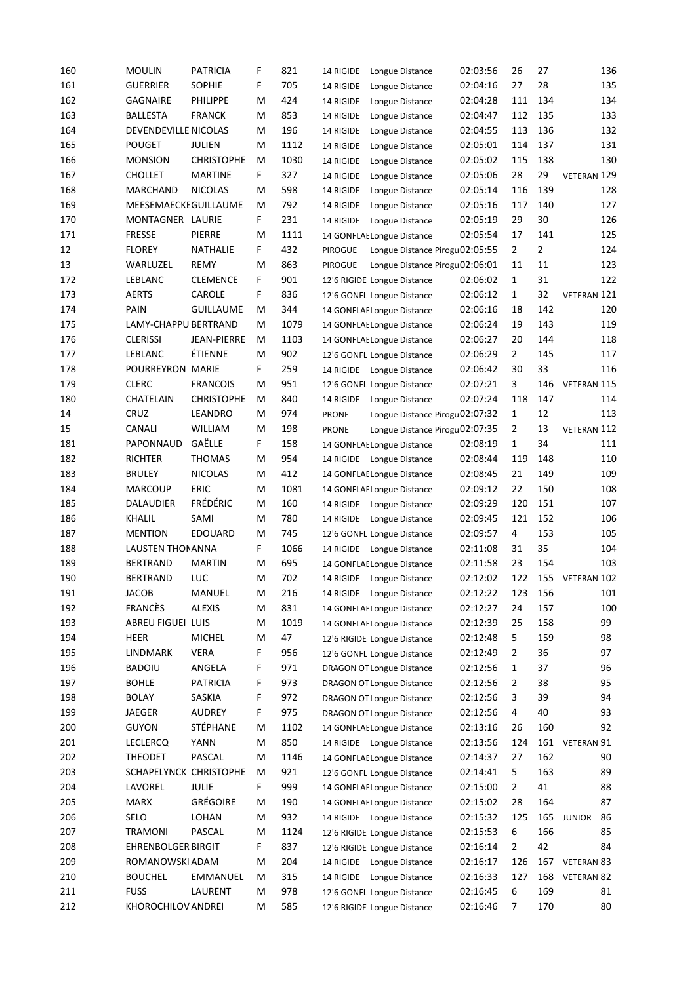| 160        | <b>MOULIN</b>                     | <b>PATRICIA</b>         | F      | 821         | 14 RIGIDE      | Longue Distance                                          | 02:03:56             | 26             | 27             | 136                  |  |
|------------|-----------------------------------|-------------------------|--------|-------------|----------------|----------------------------------------------------------|----------------------|----------------|----------------|----------------------|--|
| 161        | <b>GUERRIER</b>                   | <b>SOPHIE</b>           | F      | 705         | 14 RIGIDE      | Longue Distance                                          | 02:04:16             | 27             | 28             | 135                  |  |
| 162        | <b>GAGNAIRE</b>                   | PHILIPPE                | M      | 424         | 14 RIGIDE      | Longue Distance                                          | 02:04:28             | 111            | 134            | 134                  |  |
| 163        | BALLESTA                          | <b>FRANCK</b>           | м      | 853         | 14 RIGIDE      | Longue Distance                                          | 02:04:47             | 112            | 135            | 133                  |  |
| 164        | DEVENDEVILLE NICOLAS              |                         | M      | 196         | 14 RIGIDE      | Longue Distance                                          | 02:04:55             | 113            | 136            | 132                  |  |
| 165        | POUGET                            | JULIEN                  | м      | 1112        | 14 RIGIDE      | Longue Distance                                          | 02:05:01             | 114            | 137            | 131                  |  |
| 166        | <b>MONSION</b>                    | <b>CHRISTOPHE</b>       | M      | 1030        | 14 RIGIDE      | Longue Distance                                          | 02:05:02             | 115            | 138            | 130                  |  |
| 167        | <b>CHOLLET</b>                    | <b>MARTINE</b>          | F.     | 327         | 14 RIGIDE      | Longue Distance                                          | 02:05:06             | 28             | 29             | VETERAN 129          |  |
| 168        | MARCHAND                          | <b>NICOLAS</b>          | M      | 598         | 14 RIGIDE      | Longue Distance                                          | 02:05:14             | 116            | 139            | 128                  |  |
| 169        | MEESEMAECKEGUILLAUME              |                         | м      | 792         | 14 RIGIDE      | Longue Distance                                          | 02:05:16             | 117            | 140            | 127                  |  |
| 170        | MONTAGNER LAURIE                  |                         | F.     | 231         | 14 RIGIDE      | Longue Distance                                          | 02:05:19             | 29             | 30             | 126                  |  |
| 171        | <b>FRESSE</b>                     | PIERRE                  | M      | 1111        |                | 14 GONFLAELongue Distance                                | 02:05:54             | 17             | 141            | 125                  |  |
| 12         | <b>FLOREY</b>                     | NATHALIE                | F.     | 432         | PIROGUE        | Longue Distance Pirogu02:05:55                           |                      | $\mathbf{2}$   | $\overline{2}$ | 124                  |  |
| 13         | WARLUZEL                          | <b>REMY</b>             | м      | 863         | <b>PIROGUE</b> | Longue Distance Pirogu02:06:01                           |                      | 11             | 11             | 123                  |  |
| 172        | LEBLANC                           | <b>CLEMENCE</b>         | F.     | 901         |                | 12'6 RIGIDE Longue Distance                              | 02:06:02             | $\mathbf{1}$   | 31             | 122                  |  |
| 173        | <b>AERTS</b>                      | <b>CAROLE</b>           | F      | 836         |                | 12'6 GONFL Longue Distance                               | 02:06:12             | $\mathbf{1}$   | 32             | VETERAN 121          |  |
| 174        | PAIN                              | <b>GUILLAUME</b>        | M      | 344         |                | 14 GONFLAELongue Distance                                | 02:06:16             | 18             | 142            | 120                  |  |
| 175        | LAMY-CHAPPU BERTRAND              |                         | м      | 1079        |                | 14 GONFLAELongue Distance                                | 02:06:24             | 19             | 143            | 119                  |  |
| 176        | <b>CLERISSI</b>                   | <b>JEAN-PIERRE</b>      | м      | 1103        |                | 14 GONFLAELongue Distance                                | 02:06:27             | 20             | 144            | 118                  |  |
| 177        | LEBLANC                           | ÉTIENNE                 | м      | 902         |                | 12'6 GONFL Longue Distance                               | 02:06:29             | $\mathbf{2}$   | 145            | 117                  |  |
| 178        | POURREYRON MARIE                  |                         | F.     | 259         | 14 RIGIDE      | Longue Distance                                          | 02:06:42             | 30             | 33             | 116                  |  |
| 179        | <b>CLERC</b>                      | <b>FRANCOIS</b>         | M      | 951         |                | 12'6 GONFL Longue Distance                               | 02:07:21             | 3              | 146            | VETERAN 115          |  |
| 180        | CHATELAIN                         | <b>CHRISTOPHE</b>       | м      | 840         | 14 RIGIDE      | Longue Distance                                          | 02:07:24             | 118            | 147            | 114                  |  |
| 14         | <b>CRUZ</b>                       | LEANDRO                 | м      | 974         | <b>PRONE</b>   | Longue Distance Pirogu02:07:32                           |                      | $\mathbf{1}$   | 12             | 113                  |  |
| 15         | <b>CANALI</b>                     | <b>WILLIAM</b>          | м      | 198         | <b>PRONE</b>   | Longue Distance Pirogu02:07:35                           |                      | $\overline{2}$ | 13             | VETERAN 112          |  |
| 181        | PAPONNAUD                         | GAËLLE                  | F.     | 158         |                | 14 GONFLAELongue Distance                                | 02:08:19             | 1              | 34             | 111                  |  |
| 182        | RICHTER                           | <b>THOMAS</b>           | М      | 954         |                | 14 RIGIDE Longue Distance                                | 02:08:44             | 119            | 148            | 110                  |  |
| 183        | <b>BRULEY</b>                     | <b>NICOLAS</b>          | M      | 412         |                | 14 GONFLAELongue Distance                                | 02:08:45             | 21             | 149            | 109                  |  |
| 184        | <b>MARCOUP</b>                    | <b>ERIC</b>             | м      | 1081        |                | 14 GONFLAELongue Distance                                | 02:09:12             | 22             | 150            | 108                  |  |
| 185        | DALAUDIER                         | <b>FRÉDÉRIC</b>         | M      | 160         | 14 RIGIDE      | Longue Distance                                          | 02:09:29             | 120            | 151            | 107                  |  |
| 186        | KHALIL                            | SAMI                    | М      | 780         | 14 RIGIDE      | Longue Distance                                          | 02:09:45             | 121            | 152            | 106                  |  |
| 187        | <b>MENTION</b>                    | <b>EDOUARD</b>          | м      | 745         |                | 12'6 GONFL Longue Distance                               | 02:09:57             | 4              | 153            | 105                  |  |
| 188        | LAUSTEN THONANNA                  |                         | F.     | 1066        |                | 14 RIGIDE Longue Distance                                | 02:11:08             | 31             | 35             | 104                  |  |
| 189        | <b>BERTRAND</b>                   | <b>MARTIN</b>           | M      | 695         |                | 14 GONFLAELongue Distance                                | 02:11:58             | 23             | 154            | 103                  |  |
| 190        | <b>BERTRAND</b>                   | LUC                     | м      | 702         |                | 14 RIGIDE Longue Distance                                | 02:12:02             | 122            |                | 155 VETERAN 102      |  |
| 191        | <b>JACOB</b>                      | MANUEL                  | M      | 216         |                | 14 RIGIDE Longue Distance                                | 02:12:22             | 123            | 156            | 101                  |  |
| 192        | <b>FRANCÈS</b>                    | <b>ALEXIS</b>           | Μ      | 831         |                | 14 GONFLAELongue Distance                                | 02:12:27             | 24             | 157            | 100                  |  |
| 193        | ABREU FIGUEI LUIS                 |                         | Μ      | 1019        |                | 14 GONFLAELongue Distance                                | 02:12:39             | 25             | 158            | 99                   |  |
| 194        | HEER                              | <b>MICHEL</b>           | M      | 47          |                | 12'6 RIGIDE Longue Distance                              | 02:12:48             | 5              | 159            | 98                   |  |
| 195        | LINDMARK                          | <b>VERA</b>             | F      | 956         |                | 12'6 GONFL Longue Distance                               | 02:12:49             | 2              | 36             | 97                   |  |
| 196        | <b>BADOIU</b>                     | ANGELA                  | F      | 971         |                | <b>DRAGON OT Longue Distance</b>                         | 02:12:56             | 1              | 37             | 96                   |  |
| 197        | <b>BOHLE</b>                      | <b>PATRICIA</b>         | F      | 973         |                | <b>DRAGON OT Longue Distance</b>                         | 02:12:56             | 2              | 38             | 95                   |  |
| 198        | <b>BOLAY</b>                      | SASKIA<br><b>AUDREY</b> | F      | 972         |                | <b>DRAGON OT Longue Distance</b>                         | 02:12:56             | 3              | 39             | 94                   |  |
| 199        | <b>JAEGER</b>                     | STÉPHANE                | F.     | 975         |                | <b>DRAGON OT Longue Distance</b>                         | 02:12:56             | 4              | 40<br>160      | 93                   |  |
| 200<br>201 | <b>GUYON</b>                      |                         | Μ      | 1102<br>850 |                | 14 GONFLAELongue Distance                                | 02:13:16<br>02:13:56 | 26<br>124      |                | 92<br>161 VETERAN 91 |  |
| 202        | <b>LECLERCQ</b><br><b>THEODET</b> | YANN<br>PASCAL          | м<br>м | 1146        |                | 14 RIGIDE Longue Distance                                | 02:14:37             | 27             | 162            | 90                   |  |
| 203        | SCHAPELYNCK CHRISTOPHE            |                         | Μ      | 921         |                | 14 GONFLAELongue Distance<br>12'6 GONFL Longue Distance  | 02:14:41             | 5              | 163            | 89                   |  |
| 204        | LAVOREL                           | <b>JULIE</b>            | F.     | 999         |                |                                                          | 02:15:00             | 2              | 41             | 88                   |  |
| 205        | MARX                              | <b>GRÉGOIRE</b>         | Μ      | 190         |                | 14 GONFLAELongue Distance<br>14 GONFLAELongue Distance   | 02:15:02             | 28             | 164            | 87                   |  |
| 206        | SELO                              | LOHAN                   | м      | 932         |                |                                                          | 02:15:32             | 125            | 165            | 86<br><b>JUNIOR</b>  |  |
| 207        | TRAMONI                           | PASCAL                  | Μ      | 1124        |                | 14 RIGIDE Longue Distance<br>12'6 RIGIDE Longue Distance | 02:15:53             | 6              | 166            | 85                   |  |
| 208        | <b>EHRENBOLGER BIRGIT</b>         |                         | F      | 837         |                | 12'6 RIGIDE Longue Distance                              | 02:16:14             | 2              | 42             | 84                   |  |
| 209        | ROMANOWSKI ADAM                   |                         | Μ      | 204         |                | 14 RIGIDE Longue Distance                                | 02:16:17             | 126            |                | 167 VETERAN 83       |  |
| 210        | <b>BOUCHEL</b>                    | EMMANUEL                | м      | 315         |                | 14 RIGIDE Longue Distance                                | 02:16:33             | 127            | 168            | VETERAN 82           |  |
| 211        | <b>FUSS</b>                       | LAURENT                 | м      | 978         |                | 12'6 GONFL Longue Distance                               | 02:16:45             | 6              | 169            | 81                   |  |
| 212        | KHOROCHILOV ANDREI                |                         | м      | 585         |                | 12'6 RIGIDE Longue Distance                              | 02:16:46             | 7              | 170            | 80                   |  |
|            |                                   |                         |        |             |                |                                                          |                      |                |                |                      |  |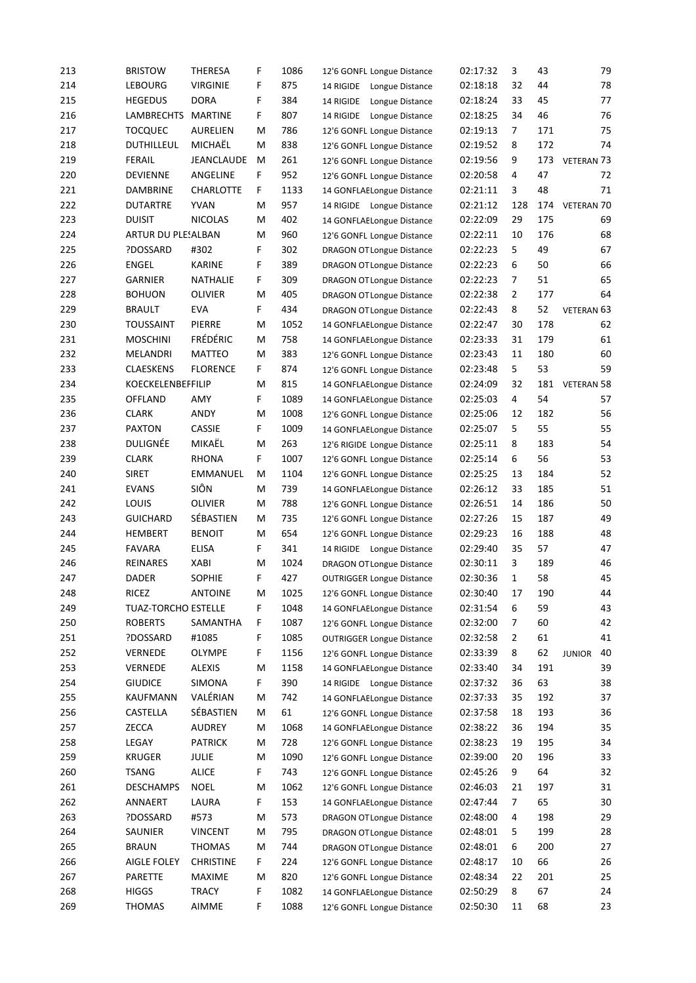| 213 | <b>BRISTOW</b>             | <b>THERESA</b>   | F  | 1086 | 12'6 GONFL Longue Distance       | 02:17:32 | 3              | 43  | 79                  |
|-----|----------------------------|------------------|----|------|----------------------------------|----------|----------------|-----|---------------------|
| 214 | <b>LEBOURG</b>             | <b>VIRGINIE</b>  | F  | 875  | 14 RIGIDE<br>Longue Distance     | 02:18:18 | 32             | 44  | 78                  |
| 215 | <b>HEGEDUS</b>             | <b>DORA</b>      | F  | 384  | 14 RIGIDE<br>Longue Distance     | 02:18:24 | 33             | 45  | 77                  |
| 216 | <b>LAMBRECHTS</b>          | <b>MARTINE</b>   | F. | 807  | 14 RIGIDE<br>Longue Distance     | 02:18:25 | 34             | 46  | 76                  |
| 217 | <b>TOCQUEC</b>             | AURELIEN         | м  | 786  | 12'6 GONFL Longue Distance       | 02:19:13 | 7              | 171 | 75                  |
| 218 | DUTHILLEUL                 | MICHAËL          | м  | 838  | 12'6 GONFL Longue Distance       | 02:19:52 | 8              | 172 | 74                  |
| 219 | <b>FERAIL</b>              | JEANCLAUDE       | M  | 261  | 12'6 GONFL Longue Distance       | 02:19:56 | 9              | 173 | VETERAN 73          |
| 220 | <b>DEVIENNE</b>            | ANGELINE         | F  | 952  | 12'6 GONFL Longue Distance       | 02:20:58 | 4              | 47  | 72                  |
| 221 | DAMBRINE                   | <b>CHARLOTTE</b> | F  | 1133 | 14 GONFLAELongue Distance        | 02:21:11 | 3              | 48  | 71                  |
| 222 | <b>DUTARTRE</b>            | <b>YVAN</b>      | м  | 957  | 14 RIGIDE Longue Distance        | 02:21:12 | 128            | 174 | <b>VETERAN 70</b>   |
| 223 | <b>DUISIT</b>              | <b>NICOLAS</b>   | М  | 402  | 14 GONFLAELongue Distance        | 02:22:09 | 29             | 175 | 69                  |
| 224 | ARTUR DU PLESALBAN         |                  | М  | 960  | 12'6 GONFL Longue Distance       | 02:22:11 | 10             | 176 | 68                  |
| 225 | ?DOSSARD                   | #302             | F  | 302  | <b>DRAGON OT Longue Distance</b> | 02:22:23 | 5              | 49  | 67                  |
| 226 | <b>ENGEL</b>               | <b>KARINE</b>    | F  | 389  | <b>DRAGON OT Longue Distance</b> | 02:22:23 | 6              | 50  | 66                  |
| 227 | <b>GARNIER</b>             | <b>NATHALIE</b>  | F  | 309  | <b>DRAGON OT Longue Distance</b> | 02:22:23 | 7              | 51  | 65                  |
| 228 | <b>BOHUON</b>              | <b>OLIVIER</b>   | м  | 405  | <b>DRAGON OT Longue Distance</b> | 02:22:38 | $\overline{2}$ | 177 | 64                  |
| 229 | <b>BRAULT</b>              | <b>EVA</b>       | F. | 434  | <b>DRAGON OT Longue Distance</b> | 02:22:43 | 8              | 52  | VETERAN 63          |
| 230 | <b>TOUSSAINT</b>           | <b>PIERRE</b>    | M  | 1052 | 14 GONFLAELongue Distance        | 02:22:47 | 30             | 178 | 62                  |
| 231 | <b>MOSCHINI</b>            | <b>FRÉDÉRIC</b>  | М  | 758  | 14 GONFLAELongue Distance        | 02:23:33 | 31             | 179 | 61                  |
| 232 | MELANDRI                   | <b>MATTEO</b>    | м  | 383  | 12'6 GONFL Longue Distance       | 02:23:43 | 11             | 180 | 60                  |
| 233 | <b>CLAESKENS</b>           | <b>FLORENCE</b>  | F. | 874  | 12'6 GONFL Longue Distance       | 02:23:48 | 5              | 53  | 59                  |
| 234 | KOECKELENBEFFILIP          |                  | м  | 815  | 14 GONFLAELongue Distance        | 02:24:09 | 32             | 181 | <b>VETERAN 58</b>   |
| 235 | OFFLAND                    | AMY              | F  | 1089 | 14 GONFLAELongue Distance        | 02:25:03 | 4              | 54  | 57                  |
| 236 | <b>CLARK</b>               | ANDY             | M  | 1008 | 12'6 GONFL Longue Distance       | 02:25:06 | 12             | 182 | 56                  |
| 237 | <b>PAXTON</b>              | <b>CASSIE</b>    | F. | 1009 | 14 GONFLAELongue Distance        | 02:25:07 | 5              | 55  | 55                  |
| 238 | DULIGNÉE                   | MIKAËL           | M  | 263  | 12'6 RIGIDE Longue Distance      | 02:25:11 | 8              | 183 | 54                  |
| 239 | <b>CLARK</b>               | <b>RHONA</b>     | F. | 1007 | 12'6 GONFL Longue Distance       | 02:25:14 | 6              | 56  | 53                  |
| 240 | <b>SIRET</b>               | EMMANUEL         | М  | 1104 | 12'6 GONFL Longue Distance       | 02:25:25 | 13             | 184 | 52                  |
| 241 | <b>EVANS</b>               | SIÔN             | М  | 739  | 14 GONFLAELongue Distance        | 02:26:12 | 33             | 185 | 51                  |
| 242 | LOUIS                      | OLIVIER          | М  | 788  | 12'6 GONFL Longue Distance       | 02:26:51 | 14             | 186 | 50                  |
| 243 | <b>GUICHARD</b>            | SÉBASTIEN        | М  | 735  | 12'6 GONFL Longue Distance       | 02:27:26 | 15             | 187 | 49                  |
| 244 | <b>HEMBERT</b>             | <b>BENOIT</b>    | М  | 654  | 12'6 GONFL Longue Distance       | 02:29:23 | 16             | 188 | 48                  |
| 245 | <b>FAVARA</b>              | <b>ELISA</b>     | F. | 341  | 14 RIGIDE Longue Distance        | 02:29:40 | 35             | 57  | 47                  |
| 246 | REINARES                   | <b>XABI</b>      | М  | 1024 | <b>DRAGON OT Longue Distance</b> | 02:30:11 | 3              | 189 | 46                  |
| 247 | <b>DADER</b>               | <b>SOPHIE</b>    | F. | 427  | <b>OUTRIGGER Longue Distance</b> | 02:30:36 | $\mathbf{1}$   | 58  | 45                  |
| 248 | <b>RICEZ</b>               | <b>ANTOINE</b>   | M  | 1025 | 12'6 GONFL Longue Distance       | 02:30:40 | 17             | 190 | 44                  |
| 249 | <b>TUAZ-TORCHO ESTELLE</b> |                  | F. | 1048 | 14 GONFLAELongue Distance        | 02:31:54 | 6              | 59  | 43                  |
| 250 | <b>ROBERTS</b>             | SAMANTHA         | F. | 1087 | 12'6 GONFL Longue Distance       | 02:32:00 | 7              | 60  | 42                  |
| 251 | ?DOSSARD                   | #1085            | F. | 1085 | <b>OUTRIGGER Longue Distance</b> | 02:32:58 | $\overline{2}$ | 61  | 41                  |
| 252 | VERNEDE                    | <b>OLYMPE</b>    | F. | 1156 | 12'6 GONFL Longue Distance       | 02:33:39 | 8              | 62  | 40<br><b>JUNIOR</b> |
| 253 | <b>VERNEDE</b>             | <b>ALEXIS</b>    | M  | 1158 | 14 GONFLAELongue Distance        | 02:33:40 | 34             | 191 | 39                  |
| 254 | <b>GIUDICE</b>             | SIMONA           | F. | 390  | 14 RIGIDE Longue Distance        | 02:37:32 | 36             | 63  | 38                  |
| 255 | KAUFMANN                   | VALÉRIAN         | м  | 742  | 14 GONFLAELongue Distance        | 02:37:33 | 35             | 192 | 37                  |
| 256 | CASTELLA                   | SÉBASTIEN        | М  | 61   | 12'6 GONFL Longue Distance       | 02:37:58 | 18             | 193 | 36                  |
| 257 | ZECCA                      | <b>AUDREY</b>    | М  | 1068 | 14 GONFLAELongue Distance        | 02:38:22 | 36             | 194 | 35                  |
| 258 | LEGAY                      | <b>PATRICK</b>   | М  | 728  | 12'6 GONFL Longue Distance       | 02:38:23 | 19             | 195 | 34                  |
| 259 | <b>KRUGER</b>              | JULIE            | м  | 1090 | 12'6 GONFL Longue Distance       | 02:39:00 | 20             | 196 | 33                  |
| 260 | <b>TSANG</b>               | <b>ALICE</b>     | F. | 743  | 12'6 GONFL Longue Distance       | 02:45:26 | 9              | 64  | 32                  |
| 261 | <b>DESCHAMPS</b>           | <b>NOEL</b>      | M  | 1062 | 12'6 GONFL Longue Distance       | 02:46:03 | 21             | 197 | 31                  |
| 262 | ANNAERT                    | LAURA            | F. | 153  | 14 GONFLAELongue Distance        | 02:47:44 | 7              | 65  | 30                  |
| 263 | ?DOSSARD                   | #573             | M  | 573  | <b>DRAGON OT Longue Distance</b> | 02:48:00 | 4              | 198 | 29                  |
| 264 | SAUNIER                    | <b>VINCENT</b>   | M  | 795  | <b>DRAGON OT Longue Distance</b> | 02:48:01 | 5              | 199 | 28                  |
| 265 | <b>BRAUN</b>               | <b>THOMAS</b>    | м  | 744  | <b>DRAGON OT Longue Distance</b> | 02:48:01 | 6              | 200 | 27                  |
| 266 | AIGLE FOLEY                | <b>CHRISTINE</b> | F. | 224  | 12'6 GONFL Longue Distance       | 02:48:17 | 10             | 66  | 26                  |
| 267 | PARETTE                    | <b>MAXIME</b>    | м  | 820  | 12'6 GONFL Longue Distance       | 02:48:34 | 22             | 201 | 25                  |
| 268 | <b>HIGGS</b>               | <b>TRACY</b>     | F. | 1082 | 14 GONFLAELongue Distance        | 02:50:29 | 8              | 67  | 24                  |
| 269 | <b>THOMAS</b>              | AIMME            | F  | 1088 | 12'6 GONFL Longue Distance       | 02:50:30 | 11             | 68  | 23                  |
|     |                            |                  |    |      |                                  |          |                |     |                     |